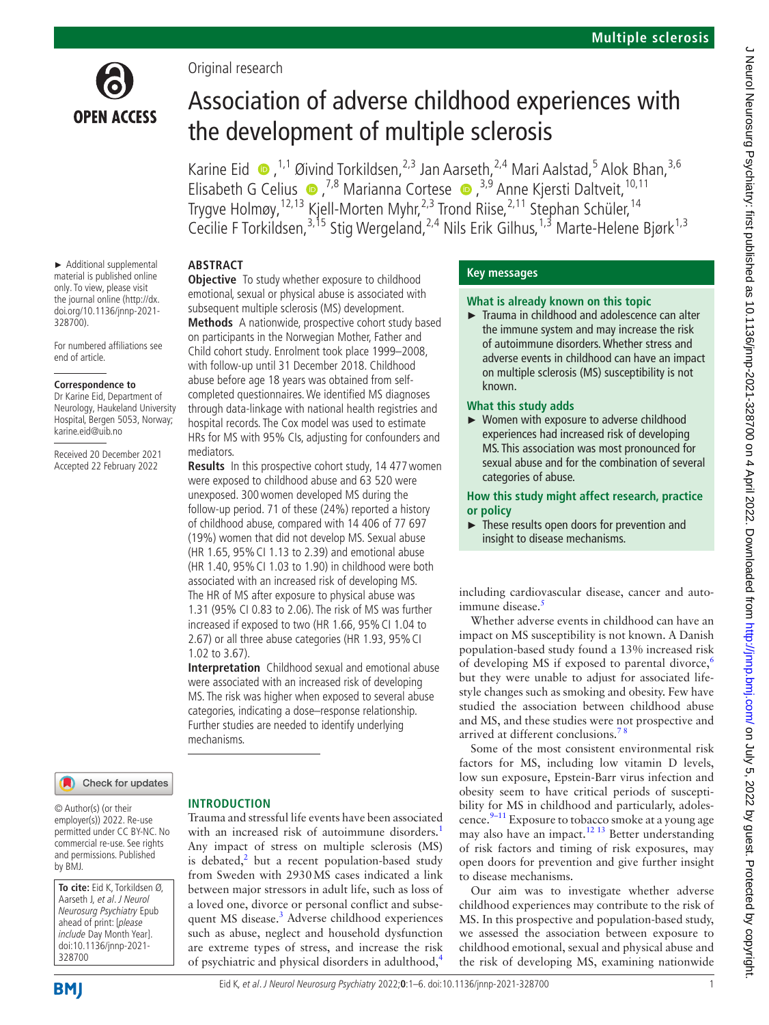

# Original research

# Association of adverse childhood experiences with the development of multiple sclerosis

KarineEid  $\bullet$ , <sup>1,1</sup> Øivind Torkildsen, <sup>2,3</sup> Jan Aarseth, <sup>2,4</sup> Mari Aalstad, <sup>5</sup> Alok Bhan, <sup>3,6</sup> ElisabethG Celius  $\bullet$ ,<sup>7,8</sup> Marianna Cortese  $\bullet$ ,<sup>3,9</sup> Anne Kjersti Daltveit,<sup>10,11</sup> Trygve Holmøy, <sup>12,13</sup> Kjell-Morten Myhr, <sup>2,3</sup> Trond Riise, <sup>2,11</sup> Stephan Schüler, <sup>14</sup> Cecilie F Torkildsen,<sup>3,15</sup> Stig Wergeland,<sup>2,4</sup> Nils Erik Gilhus,<sup>1,3</sup> Marte-Helene Bjørk<sup>1,3</sup>

#### **ABSTRACT Objective** To study whether exposure to childhood

► Additional supplemental material is published online only. To view, please visit the journal online [\(http://dx.](http://dx.doi.org/10.1136/jnnp-2021-328700) [doi.org/10.1136/jnnp-2021-](http://dx.doi.org/10.1136/jnnp-2021-328700) [328700](http://dx.doi.org/10.1136/jnnp-2021-328700)).

For numbered affiliations see end of article.

#### **Correspondence to**

Dr Karine Eid, Department of Neurology, Haukeland University Hospital, Bergen 5053, Norway; karine.eid@uib.no

Received 20 December 2021 Accepted 22 February 2022

#### Check for updates

© Author(s) (or their employer(s)) 2022. Re-use permitted under CC BY-NC. No commercial re-use. See rights and permissions. Published by BMJ.

**To cite:** Eid K, Torkildsen Ø, Aarseth J, et al. J Neurol Neurosurg Psychiatry Epub ahead of print: [please include Day Month Year]. doi:10.1136/jnnp-2021- 328700

# through data-linkage with national health registries and hospital records. The Cox model was used to estimate HRs for MS with 95% CIs, adjusting for confounders and mediators. **Results** In this prospective cohort study, 14 477 women were exposed to childhood abuse and 63 520 were unexposed. 300women developed MS during the follow-up period. 71 of these (24%) reported a history of childhood abuse, compared with 14 406 of 77 697 (19%) women that did not develop MS. Sexual abuse (HR 1.65, 95%CI 1.13 to 2.39) and emotional abuse (HR 1.40, 95%CI 1.03 to 1.90) in childhood were both associated with an increased risk of developing MS. The HR of MS after exposure to physical abuse was 1.31 (95% CI 0.83 to 2.06). The risk of MS was further increased if exposed to two (HR 1.66, 95%CI 1.04 to 2.67) or all three abuse categories (HR 1.93, 95% CI 1.02 to 3.67). **Interpretation** Childhood sexual and emotional abuse

emotional, sexual or physical abuse is associated with subsequent multiple sclerosis (MS) development. **Methods** A nationwide, prospective cohort study based on participants in the Norwegian Mother, Father and Child cohort study. Enrolment took place 1999–2008, with follow-up until 31 December 2018. Childhood abuse before age 18 years was obtained from selfcompleted questionnaires. We identified MS diagnoses

were associated with an increased risk of developing MS. The risk was higher when exposed to several abuse categories, indicating a dose–response relationship. Further studies are needed to identify underlying mechanisms.

# **INTRODUCTION**

Trauma and stressful life events have been associated with an increased risk of autoimmune disorders.<sup>[1](#page-5-0)</sup> Any impact of stress on multiple sclerosis (MS) is debated,<sup>[2](#page-5-1)</sup> but a recent population-based study from Sweden with 2930MS cases indicated a link between major stressors in adult life, such as loss of a loved one, divorce or personal conflict and subsequent MS disease.<sup>3</sup> Adverse childhood experiences such as abuse, neglect and household dysfunction are extreme types of stress, and increase the risk of psychiatric and physical disorders in adulthood,[4](#page-5-3)

# **Key messages**

# **What is already known on this topic**

► Trauma in childhood and adolescence can alter the immune system and may increase the risk of autoimmune disorders. Whether stress and adverse events in childhood can have an impact on multiple sclerosis (MS) susceptibility is not known.

# **What this study adds**

► Women with exposure to adverse childhood experiences had increased risk of developing MS. This association was most pronounced for sexual abuse and for the combination of several categories of abuse.

**How this study might affect research, practice or policy**

► These results open doors for prevention and insight to disease mechanisms.

including cardiovascular disease, cancer and autoimmune disease. $\frac{5}{3}$  $\frac{5}{3}$  $\frac{5}{3}$ 

Whether adverse events in childhood can have an impact on MS susceptibility is not known. A Danish population-based study found a 13% increased risk of developing MS if exposed to parental divorce, $6$ but they were unable to adjust for associated lifestyle changes such as smoking and obesity. Few have studied the association between childhood abuse and MS, and these studies were not prospective and arrived at different conclusions.<sup>78</sup>

Some of the most consistent environmental risk factors for MS, including low vitamin D levels, low sun exposure, Epstein-Barr virus infection and obesity seem to have critical periods of susceptibility for MS in childhood and particularly, adoles-cence.<sup>[9–11](#page-5-7)</sup> Exposure to tobacco smoke at a young age may also have an impact.<sup>12 13</sup> Better understanding of risk factors and timing of risk exposures, may open doors for prevention and give further insight to disease mechanisms.

Our aim was to investigate whether adverse childhood experiences may contribute to the risk of MS. In this prospective and population-based study, we assessed the association between exposure to childhood emotional, sexual and physical abuse and the risk of developing MS, examining nationwide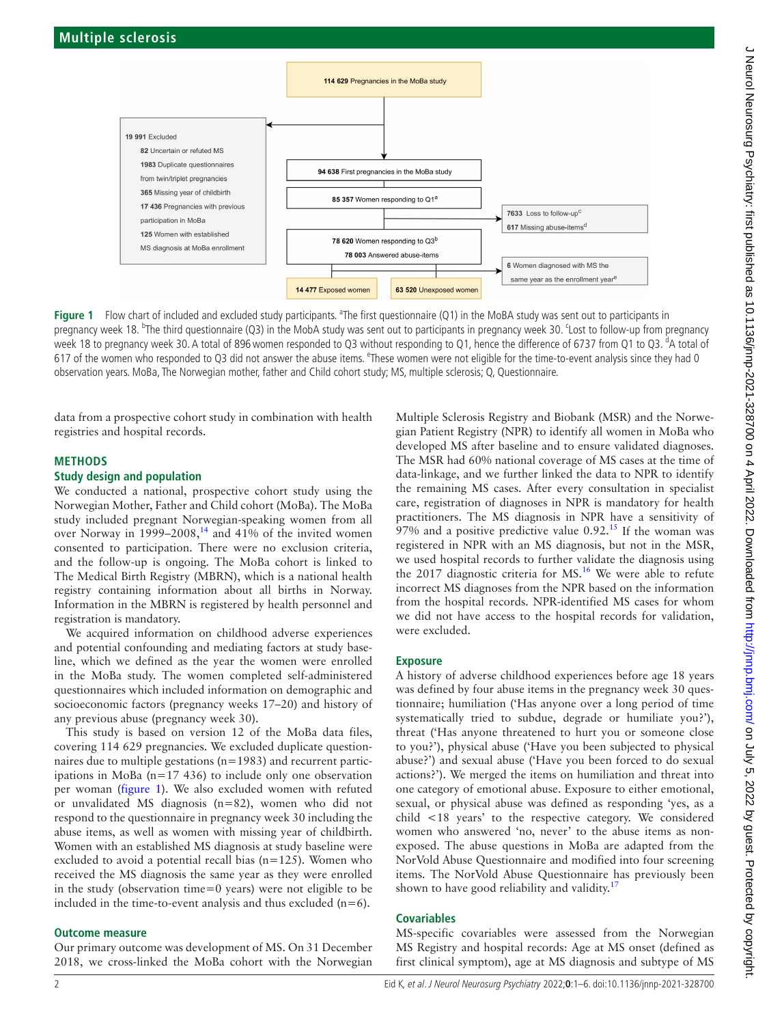

<span id="page-1-0"></span>Figure 1 Flow chart of included and excluded study participants. <sup>a</sup>The first questionnaire (Q1) in the MoBA study was sent out to participants in pregnancy week 18. <sup>b</sup>The third questionnaire (Q3) in the MobA study was sent out to participants in pregnancy week 30. Lost to follow-up from pregnancy week 18 to pregnancy week 30. A total of 896 women responded to Q3 without responding to Q1, hence the difference of 6737 from Q1 to Q3. <sup>d</sup>A total of 617 of the women who responded to Q3 did not answer the abuse items. <sup>e</sup>These women were not eligible for the time-to-event analysis since they had 0 observation years. MoBa, The Norwegian mother, father and Child cohort study; MS, multiple sclerosis; Q, Questionnaire.

data from a prospective cohort study in combination with health registries and hospital records.

# **METHODS**

### **Study design and population**

We conducted a national, prospective cohort study using the Norwegian Mother, Father and Child cohort (MoBa). The MoBa study included pregnant Norwegian-speaking women from all over Norway in  $1999-2008$ ,<sup>[14](#page-5-9)</sup> and 41% of the invited women consented to participation. There were no exclusion criteria, and the follow-up is ongoing. The MoBa cohort is linked to The Medical Birth Registry (MBRN), which is a national health registry containing information about all births in Norway. Information in the MBRN is registered by health personnel and registration is mandatory.

We acquired information on childhood adverse experiences and potential confounding and mediating factors at study baseline, which we defined as the year the women were enrolled in the MoBa study. The women completed self-administered questionnaires which included information on demographic and socioeconomic factors (pregnancy weeks 17–20) and history of any previous abuse (pregnancy week 30).

This study is based on version 12 of the MoBa data files, covering 114 629 pregnancies. We excluded duplicate questionnaires due to multiple gestations (n=1983) and recurrent participations in MoBa (n=17 436) to include only one observation per woman ([figure](#page-1-0) 1). We also excluded women with refuted or unvalidated MS diagnosis (n=82), women who did not respond to the questionnaire in pregnancy week 30 including the abuse items, as well as women with missing year of childbirth. Women with an established MS diagnosis at study baseline were excluded to avoid a potential recall bias (n=125). Women who received the MS diagnosis the same year as they were enrolled in the study (observation time=0 years) were not eligible to be included in the time-to-event analysis and thus excluded  $(n=6)$ .

#### **Outcome measure**

Our primary outcome was development of MS. On 31 December 2018, we cross-linked the MoBa cohort with the Norwegian

Multiple Sclerosis Registry and Biobank (MSR) and the Norwegian Patient Registry (NPR) to identify all women in MoBa who developed MS after baseline and to ensure validated diagnoses. The MSR had 60% national coverage of MS cases at the time of data-linkage, and we further linked the data to NPR to identify the remaining MS cases. After every consultation in specialist care, registration of diagnoses in NPR is mandatory for health practitioners. The MS diagnosis in NPR have a sensitivity of 97% and a positive predictive value  $0.92<sup>15</sup>$  If the woman was registered in NPR with an MS diagnosis, but not in the MSR, we used hospital records to further validate the diagnosis using the 2017 diagnostic criteria for MS.<sup>16</sup> We were able to refute incorrect MS diagnoses from the NPR based on the information from the hospital records. NPR-identified MS cases for whom we did not have access to the hospital records for validation, were excluded.

# **Exposure**

A history of adverse childhood experiences before age 18 years was defined by four abuse items in the pregnancy week 30 questionnaire; humiliation ('Has anyone over a long period of time systematically tried to subdue, degrade or humiliate you?'), threat ('Has anyone threatened to hurt you or someone close to you?'), physical abuse ('Have you been subjected to physical abuse?') and sexual abuse ('Have you been forced to do sexual actions?'). We merged the items on humiliation and threat into one category of emotional abuse. Exposure to either emotional, sexual, or physical abuse was defined as responding 'yes, as a child <18 years' to the respective category. We considered women who answered 'no, never' to the abuse items as nonexposed. The abuse questions in MoBa are adapted from the NorVold Abuse Questionnaire and modified into four screening items. The NorVold Abuse Questionnaire has previously been shown to have good reliability and validity. $17$ 

# **Covariables**

MS-specific covariables were assessed from the Norwegian MS Registry and hospital records: Age at MS onset (defined as first clinical symptom), age at MS diagnosis and subtype of MS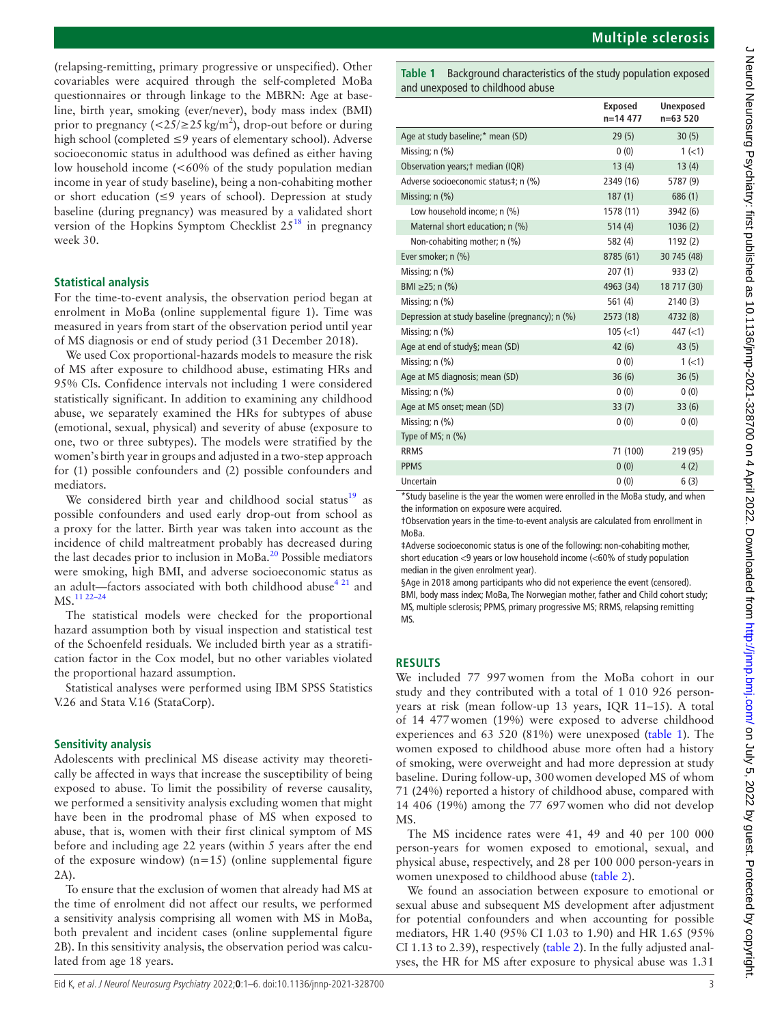J Neurol Neurosurg Psychiatry: first published as 10.1136/jnnp-2021-328700 on 4 April 2022. Downloaded from http://jnnp.bmj.com/ on July 5, 2022 by guest. Protected by copyright J Neurol Neurosurg Psychiatry: first published as 10.1136/jnnp-2021-328700 on 4 April 2022. Downloaded from <http://jnnp.bmj.com/> on July 5, 2022 by guest. Protected by copyright.

(relapsing-remitting, primary progressive or unspecified). Other covariables were acquired through the self-completed MoBa questionnaires or through linkage to the MBRN: Age at baseline, birth year, smoking (ever/never), body mass index (BMI) prior to pregnancy ( $\langle 25/25 \text{ kg/m}^2 \rangle$ , drop-out before or during high school (completed ≤9 years of elementary school). Adverse socioeconomic status in adulthood was defined as either having low household income (<60% of the study population median income in year of study baseline), being a non-cohabiting mother or short education (≤9 years of school). Depression at study baseline (during pregnancy) was measured by a validated short version of the Hopkins Symptom Checklist  $25^{18}$  $25^{18}$  $25^{18}$  in pregnancy week 30.

# **Statistical analysis**

For the time-to-event analysis, the observation period began at enrolment in MoBa [\(online supplemental figure 1\)](https://dx.doi.org/10.1136/jnnp-2021-328700). Time was measured in years from start of the observation period until year of MS diagnosis or end of study period (31 December 2018).

We used Cox proportional-hazards models to measure the risk of MS after exposure to childhood abuse, estimating HRs and 95% CIs. Confidence intervals not including 1 were considered statistically significant. In addition to examining any childhood abuse, we separately examined the HRs for subtypes of abuse (emotional, sexual, physical) and severity of abuse (exposure to one, two or three subtypes). The models were stratified by the women's birth year in groups and adjusted in a two-step approach for (1) possible confounders and (2) possible confounders and mediators.

We considered birth year and childhood social status<sup>[19](#page-5-14)</sup> as possible confounders and used early drop-out from school as a proxy for the latter. Birth year was taken into account as the incidence of child maltreatment probably has decreased during the last decades prior to inclusion in  $\text{MoBa}.^{20}$  Possible mediators were smoking, high BMI, and adverse socioeconomic status as an adult—factors associated with both childhood abuse<sup>4 21</sup> and MS.[11 22–24](#page-5-16)

The statistical models were checked for the proportional hazard assumption both by visual inspection and statistical test of the Schoenfeld residuals. We included birth year as a stratification factor in the Cox model, but no other variables violated the proportional hazard assumption.

Statistical analyses were performed using IBM SPSS Statistics V.26 and Stata V.16 (StataCorp).

# **Sensitivity analysis**

Adolescents with preclinical MS disease activity may theoretically be affected in ways that increase the susceptibility of being exposed to abuse. To limit the possibility of reverse causality, we performed a sensitivity analysis excluding women that might have been in the prodromal phase of MS when exposed to abuse, that is, women with their first clinical symptom of MS before and including age 22 years (within 5 years after the end of the exposure window)  $(n=15)$  (online supplemental figure [2A](https://dx.doi.org/10.1136/jnnp-2021-328700)).

To ensure that the exclusion of women that already had MS at the time of enrolment did not affect our results, we performed a sensitivity analysis comprising all women with MS in MoBa, both prevalent and incident cases ([online supplemental figure](https://dx.doi.org/10.1136/jnnp-2021-328700)  [2B\)](https://dx.doi.org/10.1136/jnnp-2021-328700). In this sensitivity analysis, the observation period was calculated from age 18 years.

<span id="page-2-0"></span>**Table 1** Background characteristics of the study population exposed and unexposed to childhood abuse

|                                                 | <b>Exposed</b><br>$n=14$ 477 | <b>Unexposed</b><br>$n=63520$ |
|-------------------------------------------------|------------------------------|-------------------------------|
| Age at study baseline;* mean (SD)               | 29(5)                        | 30(5)                         |
| Missing; $n$ $(\%)$                             | 0(0)                         | $1(-1)$                       |
| Observation years; † median (IQR)               | 13(4)                        | 13(4)                         |
| Adverse socioeconomic status#; n (%)            | 2349 (16)                    | 5787 (9)                      |
| Missing; n (%)                                  | 187(1)                       | 686 (1)                       |
| Low household income; n (%)                     | 1578 (11)                    | 3942 (6)                      |
| Maternal short education; n (%)                 | 514(4)                       | 1036(2)                       |
| Non-cohabiting mother; n (%)                    | 582 (4)                      | 1192(2)                       |
| Ever smoker; n (%)                              | 8785 (61)                    | 30 745 (48)                   |
| Missing; n (%)                                  | 207(1)                       | 933(2)                        |
| BMI $\geq$ 25; n (%)                            | 4963 (34)                    | 18 717 (30)                   |
| Missing; $n$ $(\%)$                             | 561 (4)                      | 2140(3)                       |
| Depression at study baseline (pregnancy); n (%) | 2573 (18)                    | 4732 (8)                      |
| Missing; n (%)                                  | $105 \; (< 1)$               | 447 (< 1)                     |
| Age at end of study§; mean (SD)                 | 42(6)                        | 43(5)                         |
| Missing; $n$ $(\%)$                             | 0(0)                         | $1(-1)$                       |
| Age at MS diagnosis; mean (SD)                  | 36(6)                        | 36(5)                         |
| Missing; $n$ $(\%)$                             | 0(0)                         | 0(0)                          |
| Age at MS onset; mean (SD)                      | 33(7)                        | 33(6)                         |
| Missing; $n$ $(\%)$                             | 0(0)                         | 0(0)                          |
| Type of MS; $n$ $(\%)$                          |                              |                               |
| <b>RRMS</b>                                     | 71 (100)                     | 219 (95)                      |
| <b>PPMS</b>                                     | 0(0)                         | 4(2)                          |
| Uncertain                                       | 0(0)                         | 6(3)                          |

\*Study baseline is the year the women were enrolled in the MoBa study, and when the information on exposure were acquired.

†Observation years in the time-to-event analysis are calculated from enrollment in MoBa.

‡Adverse socioeconomic status is one of the following: non-cohabiting mother, short education <9 years or low household income (<60% of study population median in the given enrolment year).

§Age in 2018 among participants who did not experience the event (censored). BMI, body mass index; MoBa, The Norwegian mother, father and Child cohort study; MS, multiple sclerosis; PPMS, primary progressive MS; RRMS, relapsing remitting MS.

# **RESULTS**

We included 77 997women from the MoBa cohort in our study and they contributed with a total of 1 010 926 personyears at risk (mean follow-up 13 years, IQR 11–15). A total of 14 477women (19%) were exposed to adverse childhood experiences and 63 520 (81%) were unexposed [\(table](#page-2-0) 1). The women exposed to childhood abuse more often had a history of smoking, were overweight and had more depression at study baseline. During follow-up, 300women developed MS of whom 71 (24%) reported a history of childhood abuse, compared with 14 406 (19%) among the 77 697women who did not develop MS.

The MS incidence rates were 41, 49 and 40 per 100 000 person-years for women exposed to emotional, sexual, and physical abuse, respectively, and 28 per 100 000 person-years in women unexposed to childhood abuse [\(table](#page-3-0) 2).

We found an association between exposure to emotional or sexual abuse and subsequent MS development after adjustment for potential confounders and when accounting for possible mediators, HR 1.40 (95% CI 1.03 to 1.90) and HR 1.65 (95% CI 1.13 to 2.39), respectively [\(table](#page-3-0) 2). In the fully adjusted analyses, the HR for MS after exposure to physical abuse was 1.31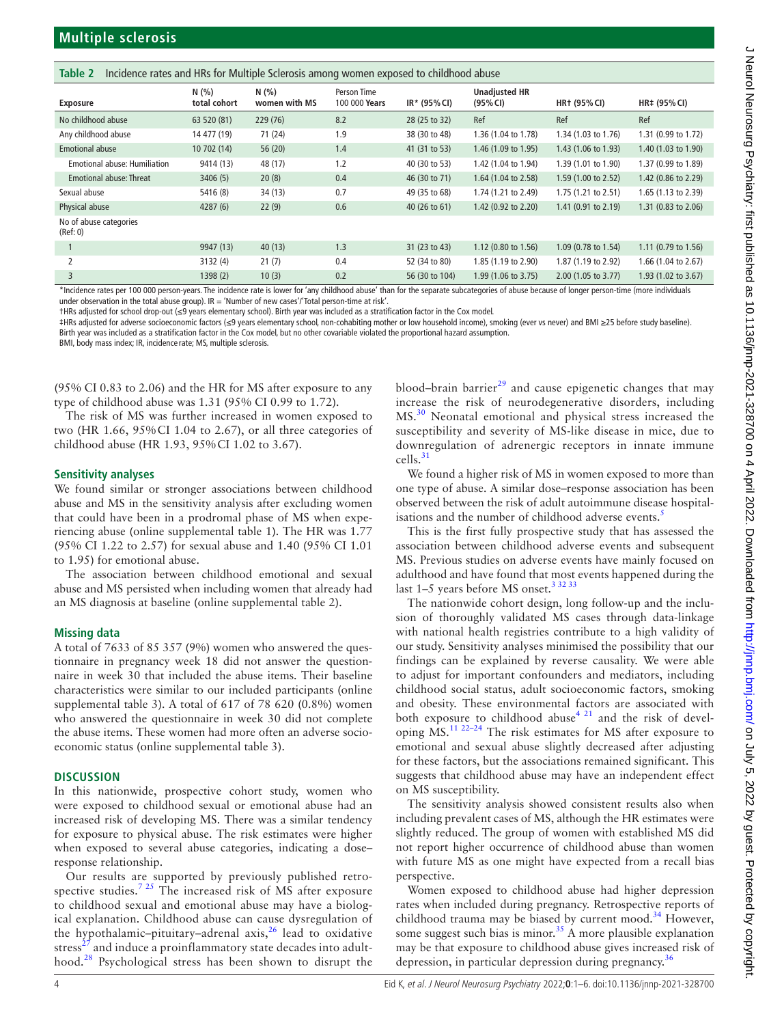<span id="page-3-0"></span>

|  | Table 2 Incidence rates and HRs for Multiple Sclerosis among women exposed to childhood abuse |  |  |
|--|-----------------------------------------------------------------------------------------------|--|--|
|  |                                                                                               |  |  |

| <b>Exposure</b>                     | N(%)<br>total cohort | N(%<br>women with MS | Person Time<br>100 000 Years | $IR*$ (95% CI) | <b>Unadjusted HR</b><br>(95% CI) | HR+ (95% CI)        | HR‡ (95% CI)        |
|-------------------------------------|----------------------|----------------------|------------------------------|----------------|----------------------------------|---------------------|---------------------|
| No childhood abuse                  | 63 520 (81)          | 229(76)              | 8.2                          | 28 (25 to 32)  | Ref                              | Ref                 | Ref                 |
| Any childhood abuse                 | 14 477 (19)          | 71 (24)              | 1.9                          | 38 (30 to 48)  | 1.36 (1.04 to 1.78)              | 1.34 (1.03 to 1.76) | 1.31 (0.99 to 1.72) |
| <b>Emotional abuse</b>              | 10 702 (14)          | 56(20)               | 1.4                          | 41 (31 to 53)  | 1.46 (1.09 to 1.95)              | 1.43 (1.06 to 1.93) | 1.40 (1.03 to 1.90) |
| <b>Emotional abuse: Humiliation</b> | 9414 (13)            | 48 (17)              | 1.2                          | 40 (30 to 53)  | 1.42 (1.04 to 1.94)              | 1.39 (1.01 to 1.90) | 1.37 (0.99 to 1.89) |
| Emotional abuse: Threat             | 3406(5)              | 20(8)                | 0.4                          | 46 (30 to 71)  | 1.64 (1.04 to 2.58)              | 1.59 (1.00 to 2.52) | 1.42 (0.86 to 2.29) |
| Sexual abuse                        | 5416 (8)             | 34(13)               | 0.7                          | 49 (35 to 68)  | 1.74 (1.21 to 2.49)              | 1.75 (1.21 to 2.51) | 1.65 (1.13 to 2.39) |
| Physical abuse                      | 4287(6)              | 22(9)                | 0.6                          | 40 (26 to 61)  | 1.42 (0.92 to 2.20)              | 1.41 (0.91 to 2.19) | 1.31 (0.83 to 2.06) |
| No of abuse categories<br>(Ref: 0)  |                      |                      |                              |                |                                  |                     |                     |
|                                     | 9947 (13)            | 40(13)               | 1.3                          | 31 (23 to 43)  | 1.12 (0.80 to 1.56)              | 1.09 (0.78 to 1.54) | 1.11 (0.79 to 1.56) |
| $\overline{2}$                      | 3132 (4)             | 21(7)                | 0.4                          | 52 (34 to 80)  | 1.85 (1.19 to 2.90)              | 1.87 (1.19 to 2.92) | 1.66 (1.04 to 2.67) |
| 3                                   | 1398(2)              | 10(3)                | 0.2                          | 56 (30 to 104) | 1.99 (1.06 to 3.75)              | 2.00 (1.05 to 3.77) | 1.93 (1.02 to 3.67) |

\*Incidence rates per 100 000 person-years. The incidence rate is lower for 'any childhood abuse' than for the separate subcategories of abuse because of longer person-time (more individuals under observation in the total abuse group).  $IR = 'Number of new cases'$  Total person-time at risk'.

†HRs adjusted for school drop-out (≤9 years elementary school). Birth year was included as a stratification factor in the Cox model.

‡HRs adjusted for adverse socioeconomic factors (≤9 years elementary school, non-cohabiting mother or low household income), smoking (ever vs never) and BMI ≥25 before study baseline). Birth year was included as a stratification factor in the Cox model, but no other covariable violated the proportional hazard assumption.

BMI, body mass index; IR, incidence rate; MS, multiple sclerosis.

(95% CI 0.83 to 2.06) and the HR for MS after exposure to any type of childhood abuse was 1.31 (95% CI 0.99 to 1.72).

The risk of MS was further increased in women exposed to two (HR 1.66, 95%CI 1.04 to 2.67), or all three categories of childhood abuse (HR 1.93, 95%CI 1.02 to 3.67).

# **Sensitivity analyses**

We found similar or stronger associations between childhood abuse and MS in the sensitivity analysis after excluding women that could have been in a prodromal phase of MS when experiencing abuse [\(online supplemental table 1\)](https://dx.doi.org/10.1136/jnnp-2021-328700). The HR was 1.77 (95% CI 1.22 to 2.57) for sexual abuse and 1.40 (95% CI 1.01 to 1.95) for emotional abuse.

The association between childhood emotional and sexual abuse and MS persisted when including women that already had an MS diagnosis at baseline [\(online supplemental table 2\)](https://dx.doi.org/10.1136/jnnp-2021-328700).

# **Missing data**

A total of 7633 of 85 357 (9%) women who answered the questionnaire in pregnancy week 18 did not answer the questionnaire in week 30 that included the abuse items. Their baseline characteristics were similar to our included participants [\(online](https://dx.doi.org/10.1136/jnnp-2021-328700)  [supplemental table 3\)](https://dx.doi.org/10.1136/jnnp-2021-328700). A total of 617 of 78 620 (0.8%) women who answered the questionnaire in week 30 did not complete the abuse items. These women had more often an adverse socioeconomic status ([online supplemental table 3](https://dx.doi.org/10.1136/jnnp-2021-328700)).

# **DISCUSSION**

In this nationwide, prospective cohort study, women who were exposed to childhood sexual or emotional abuse had an increased risk of developing MS. There was a similar tendency for exposure to physical abuse. The risk estimates were higher when exposed to several abuse categories, indicating a dose– response relationship.

Our results are supported by previously published retrospective studies.<sup>725</sup> The increased risk of MS after exposure to childhood sexual and emotional abuse may have a biological explanation. Childhood abuse can cause dysregulation of the hypothalamic–pituitary–adrenal axis, $^{26}$  lead to oxidative stress $^{27}$  $^{27}$  $^{27}$  and induce a proinflammatory state decades into adulthood.[28](#page-5-19) Psychological stress has been shown to disrupt the

blood–brain barrier $^{29}$  $^{29}$  $^{29}$  and cause epigenetic changes that may increase the risk of neurodegenerative disorders, including MS.[30](#page-5-21) Neonatal emotional and physical stress increased the susceptibility and severity of MS-like disease in mice, due to downregulation of adrenergic receptors in innate immune cells.[31](#page-5-22)

We found a higher risk of MS in women exposed to more than one type of abuse. A similar dose–response association has been observed between the risk of adult autoimmune disease hospital-isations and the number of childhood adverse events.<sup>[5](#page-5-4)</sup>

This is the first fully prospective study that has assessed the association between childhood adverse events and subsequent MS. Previous studies on adverse events have mainly focused on adulthood and have found that most events happened during the last 1-5 years before MS onset.<sup>3 32 33</sup>

The nationwide cohort design, long follow-up and the inclusion of thoroughly validated MS cases through data-linkage with national health registries contribute to a high validity of our study. Sensitivity analyses minimised the possibility that our findings can be explained by reverse causality. We were able to adjust for important confounders and mediators, including childhood social status, adult socioeconomic factors, smoking and obesity. These environmental factors are associated with both exposure to childhood abuse<sup>[4 21](#page-5-3)</sup> and the risk of developing MS.[11 22–24](#page-5-16) The risk estimates for MS after exposure to emotional and sexual abuse slightly decreased after adjusting for these factors, but the associations remained significant. This suggests that childhood abuse may have an independent effect on MS susceptibility.

The sensitivity analysis showed consistent results also when including prevalent cases of MS, although the HR estimates were slightly reduced. The group of women with established MS did not report higher occurrence of childhood abuse than women with future MS as one might have expected from a recall bias perspective.

Women exposed to childhood abuse had higher depression rates when included during pregnancy. Retrospective reports of childhood trauma may be biased by current mood.<sup>[34](#page-5-23)</sup> However, some suggest such bias is minor.<sup>[35](#page-5-24)</sup> A more plausible explanation may be that exposure to childhood abuse gives increased risk of depression, in particular depression during pregnancy.<sup>[36](#page-5-25)</sup>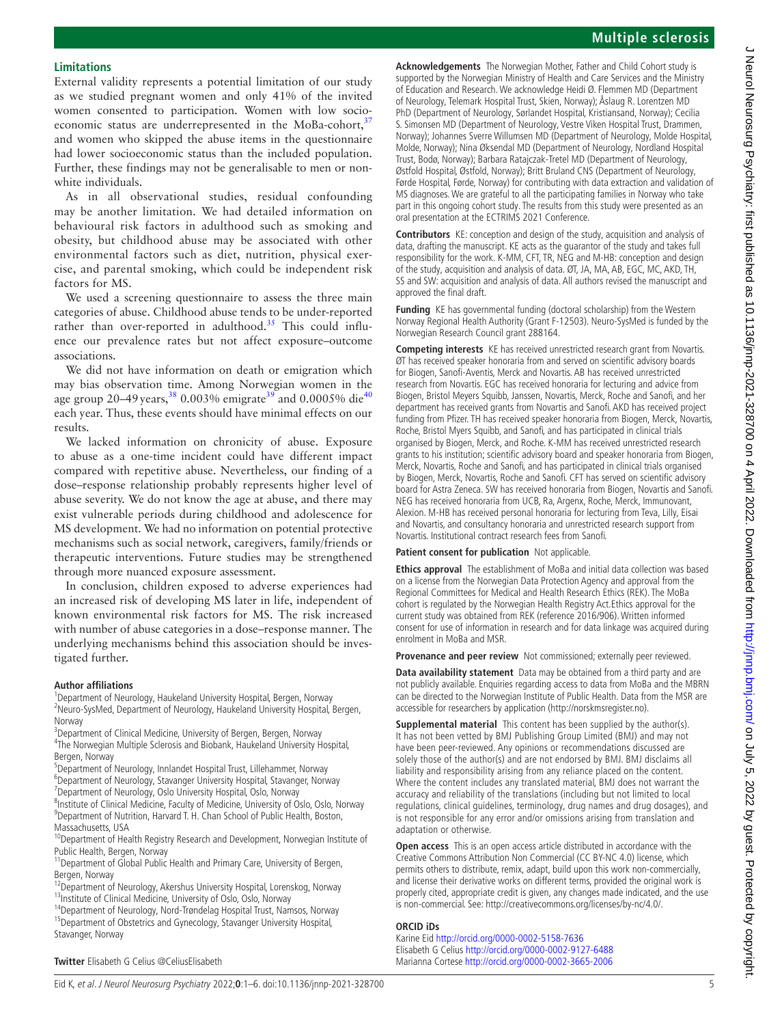# **Multiple sclerosis**

# **Limitations**

External validity represents a potential limitation of our study as we studied pregnant women and only 41% of the invited women consented to participation. Women with low socioeconomic status are underrepresented in the MoBa-cohort, $37$ and women who skipped the abuse items in the questionnaire had lower socioeconomic status than the included population. Further, these findings may not be generalisable to men or nonwhite individuals.

As in all observational studies, residual confounding may be another limitation. We had detailed information on behavioural risk factors in adulthood such as smoking and obesity, but childhood abuse may be associated with other environmental factors such as diet, nutrition, physical exercise, and parental smoking, which could be independent risk factors for MS.

We used a screening questionnaire to assess the three main categories of abuse. Childhood abuse tends to be under-reported rather than over-reported in adulthood.<sup>[35](#page-5-24)</sup> This could influence our prevalence rates but not affect exposure–outcome associations.

We did not have information on death or emigration which may bias observation time. Among Norwegian women in the age group 20–49 years,  $380003\%$  $380003\%$  emigrate<sup>39</sup> and 0.0005% die<sup>[40](#page-5-29)</sup> each year. Thus, these events should have minimal effects on our results.

We lacked information on chronicity of abuse. Exposure to abuse as a one-time incident could have different impact compared with repetitive abuse. Nevertheless, our finding of a dose–response relationship probably represents higher level of abuse severity. We do not know the age at abuse, and there may exist vulnerable periods during childhood and adolescence for MS development. We had no information on potential protective mechanisms such as social network, caregivers, family/friends or therapeutic interventions. Future studies may be strengthened through more nuanced exposure assessment.

In conclusion, children exposed to adverse experiences had an increased risk of developing MS later in life, independent of known environmental risk factors for MS. The risk increased with number of abuse categories in a dose–response manner. The underlying mechanisms behind this association should be investigated further.

#### **Author affiliations**

<sup>1</sup>Department of Neurology, Haukeland University Hospital, Bergen, Norway <sup>2</sup> Neuro-SysMed, Department of Neurology, Haukeland University Hospital, Bergen, Norway

<sup>3</sup>Department of Clinical Medicine, University of Bergen, Bergen, Norway 4 The Norwegian Multiple Sclerosis and Biobank, Haukeland University Hospital, Bergen, Norway

5 Department of Neurology, Innlandet Hospital Trust, Lillehammer, Norway <sup>6</sup>Department of Neurology, Stavanger University Hospital, Stavanger, Norway

<sup>7</sup> Department of Neurology, Oslo University Hospital, Oslo, Norway

<sup>8</sup>Institute of Clinical Medicine, Faculty of Medicine, University of Oslo, Oslo, Norway <sup>9</sup>Department of Nutrition, Harvard T. H. Chan School of Public Health, Boston, Massachusetts, USA

<sup>10</sup>Department of Health Registry Research and Development, Norwegian Institute of Public Health, Bergen, Norway

<sup>11</sup> Department of Global Public Health and Primary Care, University of Bergen, Bergen, Norway

<sup>12</sup>Department of Neurology, Akershus University Hospital, Lorenskog, Norway <sup>13</sup>Institute of Clinical Medicine, University of Oslo, Oslo, Norway

<sup>14</sup>Department of Neurology, Nord-Trøndelag Hospital Trust, Namsos, Norway<br><sup>15</sup>Department of Obstetrics and Gynecology, Stavanger University Hospital, Stavanger, Norway

**Acknowledgements** The Norwegian Mother, Father and Child Cohort study is supported by the Norwegian Ministry of Health and Care Services and the Ministry of Education and Research. We acknowledge Heidi Ø. Flemmen MD (Department of Neurology, Telemark Hospital Trust, Skien, Norway); Åslaug R. Lorentzen MD PhD (Department of Neurology, Sørlandet Hospital, Kristiansand, Norway); Cecilia S. Simonsen MD (Department of Neurology, Vestre Viken Hospital Trust, Drammen, Norway); Johannes Sverre Willumsen MD (Department of Neurology, Molde Hospital, Molde, Norway); Nina Øksendal MD (Department of Neurology, Nordland Hospital Trust, Bodø, Norway); Barbara Ratajczak-Tretel MD (Department of Neurology, Østfold Hospital, Østfold, Norway); Britt Bruland CNS (Department of Neurology, Førde Hospital, Førde, Norway) for contributing with data extraction and validation of MS diagnoses. We are grateful to all the participating families in Norway who take part in this ongoing cohort study. The results from this study were presented as an oral presentation at the ECTRIMS 2021 Conference.

**Contributors** KE: conception and design of the study, acquisition and analysis of data, drafting the manuscript. KE acts as the guarantor of the study and takes full responsibility for the work. K-MM, CFT, TR, NEG and M-HB: conception and design of the study, acquisition and analysis of data. ØT, JA, MA, AB, EGC, MC, AKD, TH, SS and SW: acquisition and analysis of data. All authors revised the manuscript and approved the final draft.

**Funding** KE has governmental funding (doctoral scholarship) from the Western Norway Regional Health Authority (Grant F-12503). Neuro-SysMed is funded by the Norwegian Research Council grant 288164.

**Competing interests** KE has received unrestricted research grant from Novartis. ØT has received speaker honoraria from and served on scientific advisory boards for Biogen, Sanofi-Aventis, Merck and Novartis. AB has received unrestricted research from Novartis. EGC has received honoraria for lecturing and advice from Biogen, Bristol Meyers Squibb, Janssen, Novartis, Merck, Roche and Sanofi, and her department has received grants from Novartis and Sanofi. AKD has received project funding from Pfizer. TH has received speaker honoraria from Biogen, Merck, Novartis, Roche, Bristol Myers Squibb, and Sanofi, and has participated in clinical trials organised by Biogen, Merck, and Roche. K-MM has received unrestricted research grants to his institution; scientific advisory board and speaker honoraria from Biogen, Merck, Novartis, Roche and Sanofi, and has participated in clinical trials organised by Biogen, Merck, Novartis, Roche and Sanofi. CFT has served on scientific advisory board for Astra Zeneca. SW has received honoraria from Biogen, Novartis and Sanofi. NEG has received honoraria from UCB, Ra, Argenx, Roche, Merck, Immunovant, Alexion. M-HB has received personal honoraria for lecturing from Teva, Lilly, Eisai and Novartis, and consultancy honoraria and unrestricted research support from Novartis. Institutional contract research fees from Sanofi.

#### **Patient consent for publication** Not applicable.

**Ethics approval** The establishment of MoBa and initial data collection was based on a license from the Norwegian Data Protection Agency and approval from the Regional Committees for Medical and Health Research Ethics (REK). The MoBa cohort is regulated by the Norwegian Health Registry Act.Ethics approval for the current study was obtained from REK (reference 2016/906). Written informed consent for use of information in research and for data linkage was acquired during enrolment in MoBa and MSR.

**Provenance and peer review** Not commissioned; externally peer reviewed.

**Data availability statement** Data may be obtained from a third party and are not publicly available. Enquiries regarding access to data from MoBa and the MBRN can be directed to the Norwegian Institute of Public Health. Data from the MSR are accessible for researchers by application (<http://norskmsregister.no>).

**Supplemental material** This content has been supplied by the author(s). It has not been vetted by BMJ Publishing Group Limited (BMJ) and may not have been peer-reviewed. Any opinions or recommendations discussed are solely those of the author(s) and are not endorsed by BMJ. BMJ disclaims all liability and responsibility arising from any reliance placed on the content. Where the content includes any translated material, BMJ does not warrant the accuracy and reliability of the translations (including but not limited to local regulations, clinical guidelines, terminology, drug names and drug dosages), and is not responsible for any error and/or omissions arising from translation and adaptation or otherwise.

**Open access** This is an open access article distributed in accordance with the Creative Commons Attribution Non Commercial (CC BY-NC 4.0) license, which permits others to distribute, remix, adapt, build upon this work non-commercially, and license their derivative works on different terms, provided the original work is properly cited, appropriate credit is given, any changes made indicated, and the use is non-commercial. See: [http://creativecommons.org/licenses/by-nc/4.0/.](http://creativecommons.org/licenses/by-nc/4.0/)

# **ORCID iDs**

Karine Eid <http://orcid.org/0000-0002-5158-7636> Elisabeth G Celius <http://orcid.org/0000-0002-9127-6488> Marianna Cortese<http://orcid.org/0000-0002-3665-2006>

**Twitter** Elisabeth G Celius [@CeliusElisabeth](https://twitter.com/CeliusElisabeth)